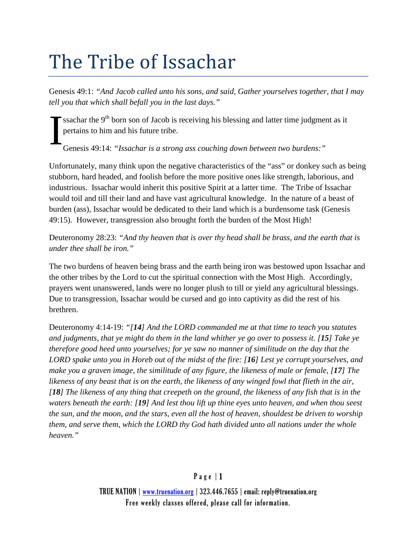## The Tribe of Issachar

Genesis 49:1: *"And Jacob called unto his sons, and said, Gather yourselves together, that I may tell you that which shall befall you in the last days."*

ssachar the  $9<sup>th</sup>$  born son of Jacob is receiving his blessing and latter time judgment as it pertains to him and his future tribe. I

Genesis 49:14: *"Issachar is a strong ass couching down between two burdens:"*

Unfortunately, many think upon the negative characteristics of the "ass" or donkey such as being stubborn, hard headed, and foolish before the more positive ones like strength, laborious, and industrious. Issachar would inherit this positive Spirit at a latter time. The Tribe of Issachar would toil and till their land and have vast agricultural knowledge. In the nature of a beast of burden (ass), Issachar would be dedicated to their land which is a burdensome task (Genesis 49:15). However, transgression also brought forth the burden of the Most High!

Deuteronomy 28:23: *"And thy heaven that is over thy head shall be brass, and the earth that is under thee shall be iron."*

The two burdens of heaven being brass and the earth being iron was bestowed upon Issachar and the other tribes by the Lord to cut the spiritual connection with the Most High. Accordingly, prayers went unanswered, lands were no longer plush to till or yield any agricultural blessings. Due to transgression, Issachar would be cursed and go into captivity as did the rest of his brethren.

Deuteronomy 4:14-19: *"[14] And the LORD commanded me at that time to teach you statutes and judgments, that ye might do them in the land whither ye go over to possess it. [15] Take ye therefore good heed unto yourselves; for ye saw no manner of similitude on the day that the LORD spake unto you in Horeb out of the midst of the fire: [16] Lest ye corrupt yourselves, and make you a graven image, the similitude of any figure, the likeness of male or female, [17] The likeness of any beast that is on the earth, the likeness of any winged fowl that flieth in the air, [18] The likeness of any thing that creepeth on the ground, the likeness of any fish that is in the waters beneath the earth: [19] And lest thou lift up thine eyes unto heaven, and when thou seest the sun, and the moon, and the stars, even all the host of heaven, shouldest be driven to worship them, and serve them, which the LORD thy God hath divided unto all nations under the whole heaven."*

## Page | 1

TRUE NATION | [www.truenation.org](http://www.truenation.org/) | 323.446.7655 | email: reply@truenation.org Free weekly classes offered, please call for information.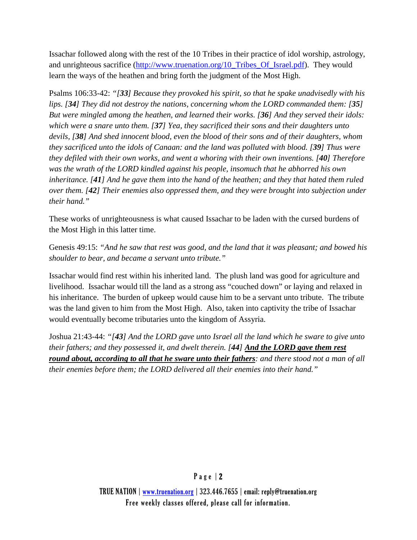Issachar followed along with the rest of the 10 Tribes in their practice of idol worship, astrology, and unrighteous sacrifice [\(http://www.truenation.org/10\\_Tribes\\_Of\\_Israel.pdf\)](http://www.truenation.org/10_Tribes_Of_Israel.pdf). They would learn the ways of the heathen and bring forth the judgment of the Most High.

Psalms 106:33-42: *"[33] Because they provoked his spirit, so that he spake unadvisedly with his lips. [34] They did not destroy the nations, concerning whom the LORD commanded them: [35] But were mingled among the heathen, and learned their works. [36] And they served their idols: which were a snare unto them. [37] Yea, they sacrificed their sons and their daughters unto devils, [38] And shed innocent blood, even the blood of their sons and of their daughters, whom they sacrificed unto the idols of Canaan: and the land was polluted with blood. [39] Thus were they defiled with their own works, and went a whoring with their own inventions. [40] Therefore was the wrath of the LORD kindled against his people, insomuch that he abhorred his own inheritance. [41] And he gave them into the hand of the heathen; and they that hated them ruled over them. [42] Their enemies also oppressed them, and they were brought into subjection under their hand."*

These works of unrighteousness is what caused Issachar to be laden with the cursed burdens of the Most High in this latter time.

Genesis 49:15: *"And he saw that rest was good, and the land that it was pleasant; and bowed his shoulder to bear, and became a servant unto tribute."*

Issachar would find rest within his inherited land. The plush land was good for agriculture and livelihood. Issachar would till the land as a strong ass "couched down" or laying and relaxed in his inheritance. The burden of upkeep would cause him to be a servant unto tribute. The tribute was the land given to him from the Most High. Also, taken into captivity the tribe of Issachar would eventually become tributaries unto the kingdom of Assyria.

Joshua 21:43-44: *"[43] And the LORD gave unto Israel all the land which he sware to give unto their fathers; and they possessed it, and dwelt therein. [44] And the LORD gave them rest round about, according to all that he sware unto their fathers: and there stood not a man of all their enemies before them; the LORD delivered all their enemies into their hand."*

TRUE NATION | [www.truenation.org](http://www.truenation.org/) | 323.446.7655 | email: reply@truenation.org Free weekly classes offered, please call for information.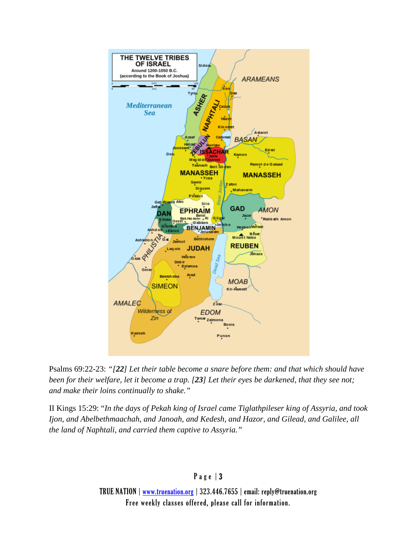

Psalms 69:22-23: *"[22] Let their table become a snare before them: and that which should have been for their welfare, let it become a trap. [23] Let their eyes be darkened, that they see not; and make their loins continually to shake."*

II Kings 15:29: "*In the days of Pekah king of Israel came Tiglathpileser king of Assyria, and took Ijon, and Abelbethmaachah, and Janoah, and Kedesh, and Hazor, and Gilead, and Galilee, all the land of Naphtali, and carried them captive to Assyria."*

## Page | 3

TRUE NATION | [www.truenation.org](http://www.truenation.org/) | 323.446.7655 | email: reply@truenation.org Free weekly classes offered, please call for information.